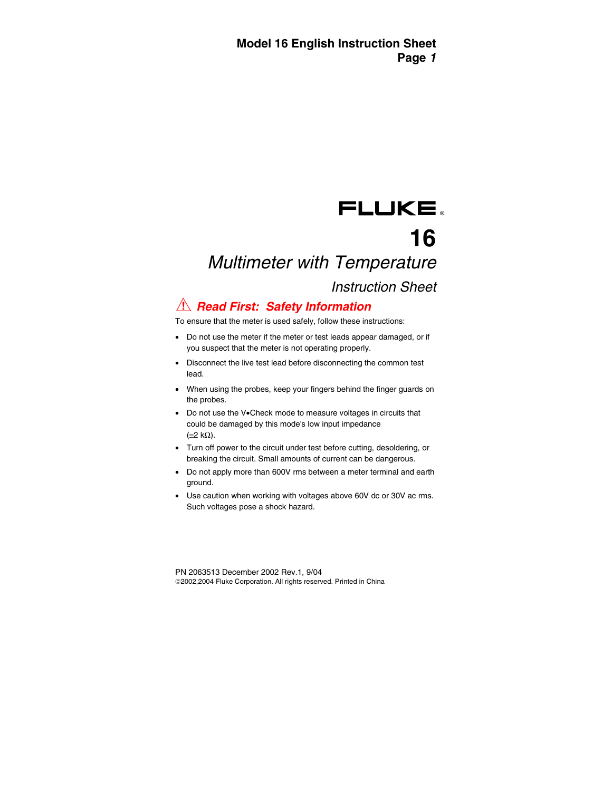## FLUKE.

# **16**

## Multimeter with Temperature

## Instruction Sheet

## **A Read First: Safety Information**

To ensure that the meter is used safely, follow these instructions:

- Do not use the meter if the meter or test leads appear damaged, or if you suspect that the meter is not operating properly.
- Disconnect the live test lead before disconnecting the common test lead.
- When using the probes, keep your fingers behind the finger guards on the probes.
- Do not use the V•Check mode to measure voltages in circuits that could be damaged by this mode's low input impedance (≅2 kΩ).
- Turn off power to the circuit under test before cutting, desoldering, or breaking the circuit. Small amounts of current can be dangerous.
- Do not apply more than 600V rms between a meter terminal and earth ground.
- Use caution when working with voltages above 60V dc or 30V ac rms. Such voltages pose a shock hazard.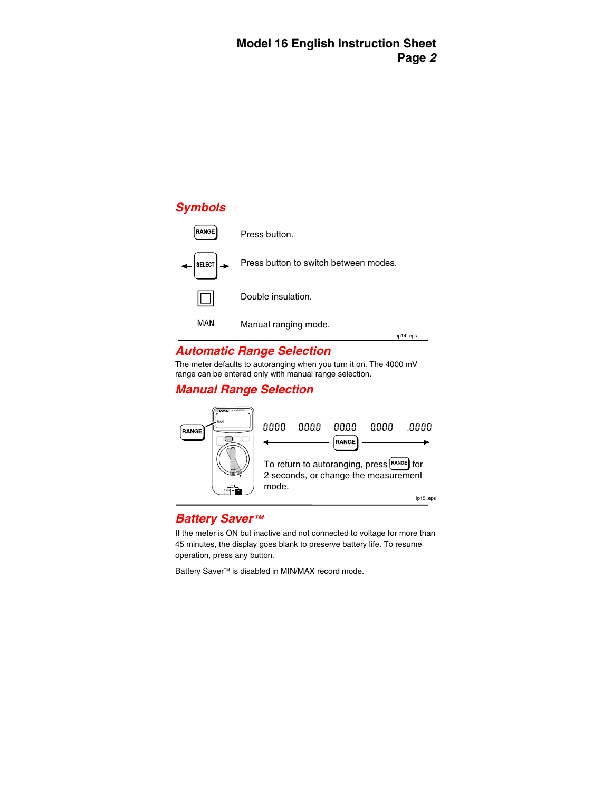

| <b>RANGE</b>                      | Press button.                         |           |
|-----------------------------------|---------------------------------------|-----------|
| $\left \right.\rightleftharpoons$ | Press button to switch between modes. |           |
|                                   | Double insulation.                    |           |
| MAN                               | Manual ranging mode.                  | ip14i.eps |

### **Automatic Range Selection**

The meter defaults to autoranging when you turn it on. The 4000 mV range can be entered only with manual range selection.

### **Manual Range Selection**



#### **Battery Saver**™

If the meter is ON but inactive and not connected to voltage for more than 45 minutes, the display goes blank to preserve battery life. To resume operation, press any button.

Battery Saver<sup>™</sup> is disabled in MIN/MAX record mode.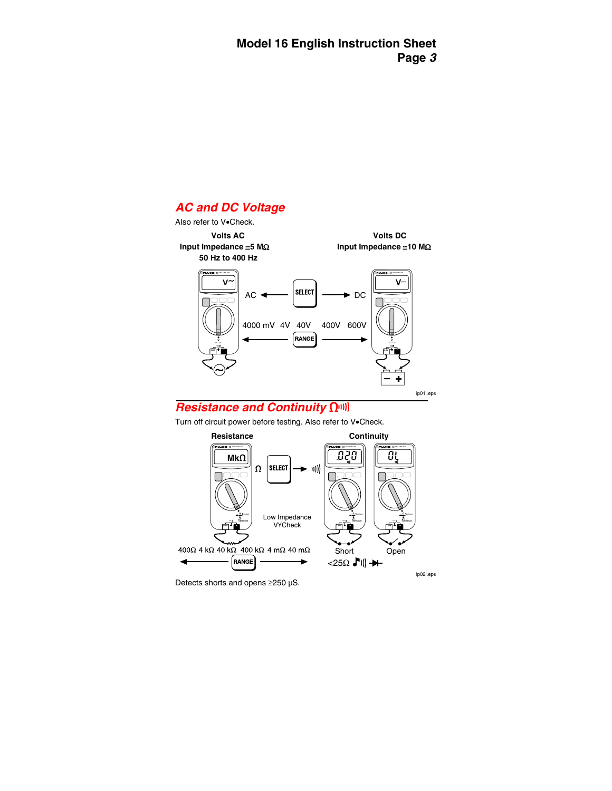### **AC and DC Voltage**

Also refer to V•Check.

 **50 Hz to 400 Hz** 

**Volts AC Volts DC Input Impedance** ≅**5 M**Ω **Input Impedance** ≅**10 M**Ω

**16** MULTIMETER **16** MULTIMETER  $AC \leftarrow$   $\left|\text{SELECT}\right| \longrightarrow DC$ 4000 mV 4V 40V 400V 600V **RANGE V V 600V 600V + +**

ip01i.eps

### **Resistance and Continuity Quall**

Turn off circuit power before testing. Also refer to V•Check.



Detects shorts and opens ≥250 µS.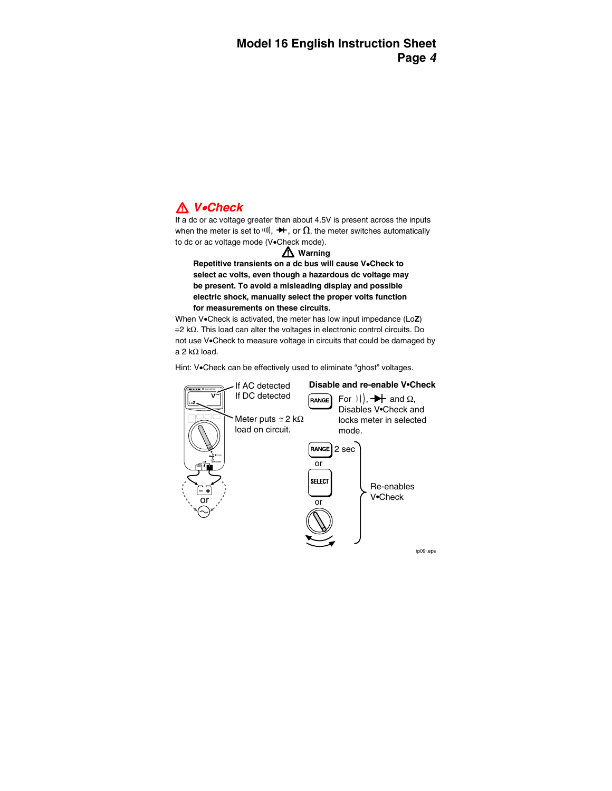## W **V**•**Check**

If a dc or ac voltage greater than about 4.5V is present across the inputs when the meter is set to W,  $\rightarrow$  or  $\Omega$ , the meter switches automatically to dc or ac voltage mode (V•Check mode).

#### W **Warning**

**Repetitive transients on a dc bus will cause V**•**Check to select ac volts, even though a hazardous dc voltage may be present. To avoid a misleading display and possible electric shock, manually select the proper volts function for measurements on these circuits.** 

When V•Check is activated, the meter has low input impedance (Lo**Z**)  $\approx$  2 kΩ. This load can alter the voltages in electronic control circuits. Do not use V•Check to measure voltage in circuits that could be damaged by a 2 kΩ load.

Hint: V•Check can be effectively used to eliminate "ghost" voltages.

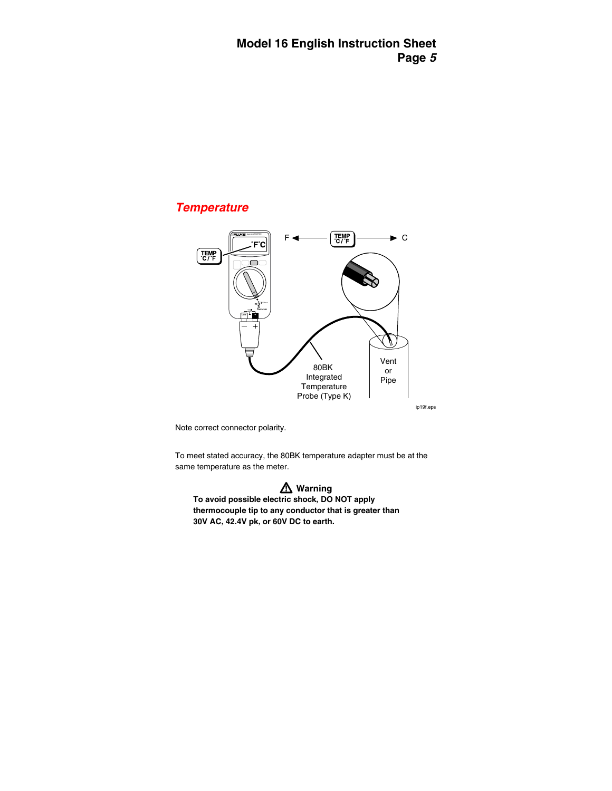#### **Temperature**



ip19f.eps

Note correct connector polarity.

To meet stated accuracy, the 80BK temperature adapter must be at the same temperature as the meter.

W **Warning To avoid possible electric shock, DO NOT apply thermocouple tip to any conductor that is greater than 30V AC, 42.4V pk, or 60V DC to earth.**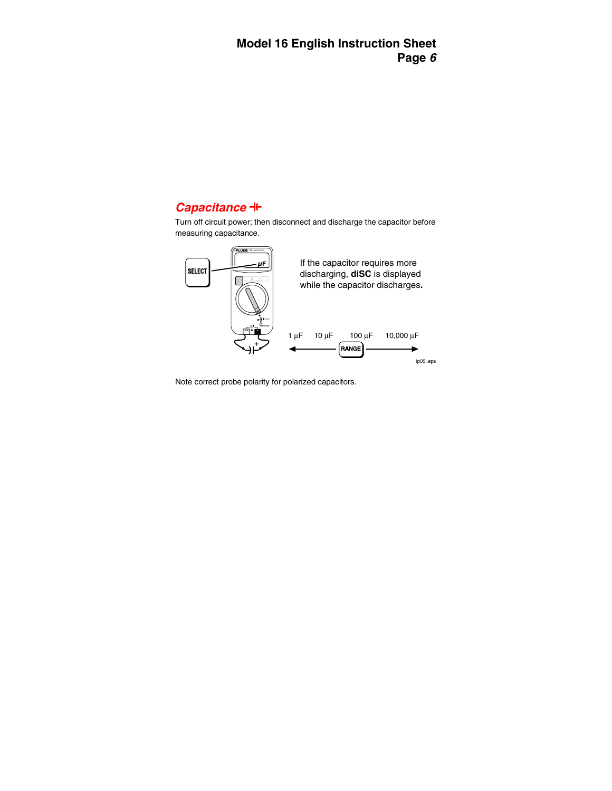## **Capacitance +**

Turn off circuit power; then disconnect and discharge the capacitor before measuring capacitance.



Note correct probe polarity for polarized capacitors.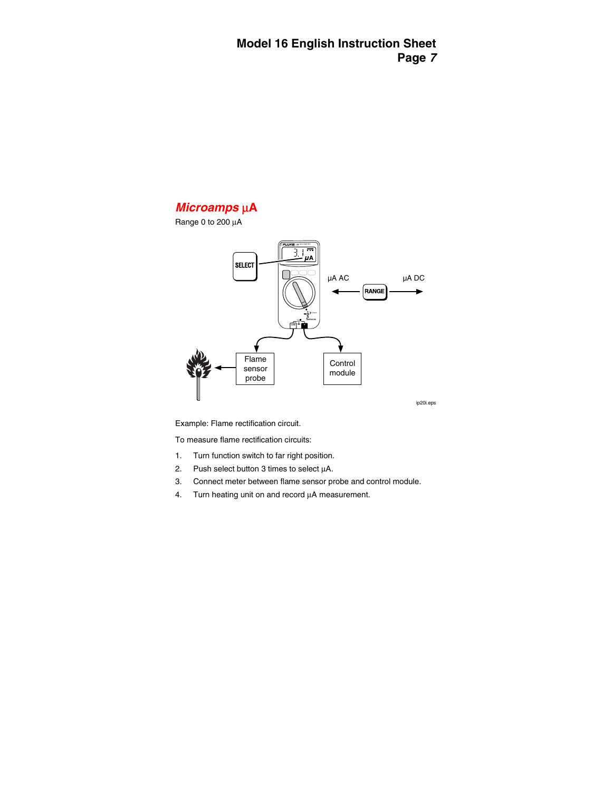

Range 0 to 200 µA



ip20i.eps

Example: Flame rectification circuit.

To measure flame rectification circuits:

- 1. Turn function switch to far right position.
- 2. Push select button 3 times to select  $\mu$ A.
- 3. Connect meter between flame sensor probe and control module.
- 4. Turn heating unit on and record  $\mu$ A measurement.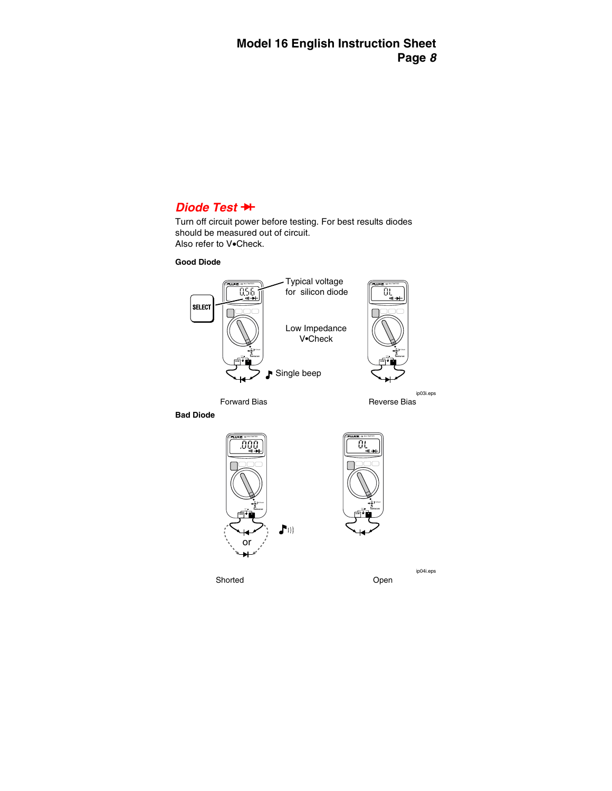#### **Diode Test ++**

Turn off circuit power before testing. For best results diodes should be measured out of circuit. Also refer to V•Check.

#### **Good Diode**



Forward Bias **Reverse** Bias

ip03i.eps

**Bad Diode** 





Shorted **Open** Changes **Open** 

ip04i.eps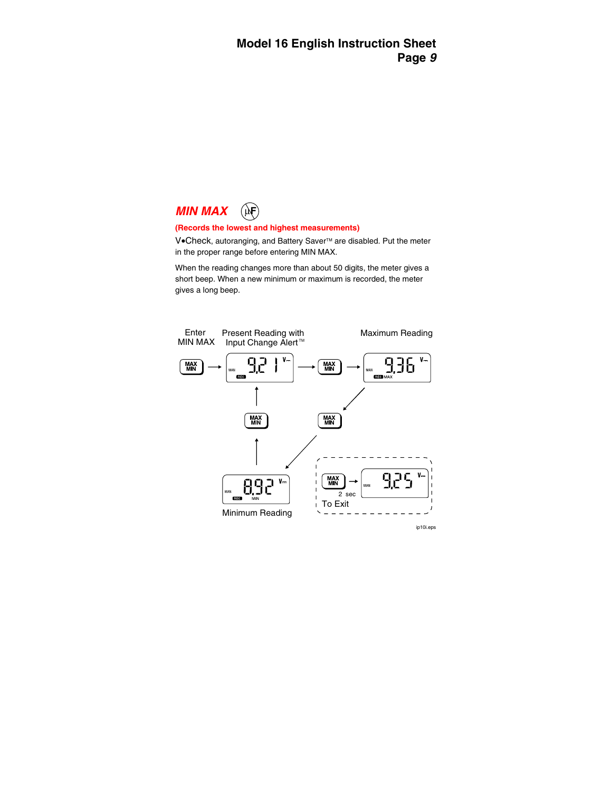

#### **(Records the lowest and highest measurements)**

V•Check, autoranging, and Battery Saver<sup>™</sup> are disabled. Put the meter in the proper range before entering MIN MAX.

When the reading changes more than about 50 digits, the meter gives a short beep. When a new minimum or maximum is recorded, the meter gives a long beep.



ip10i.eps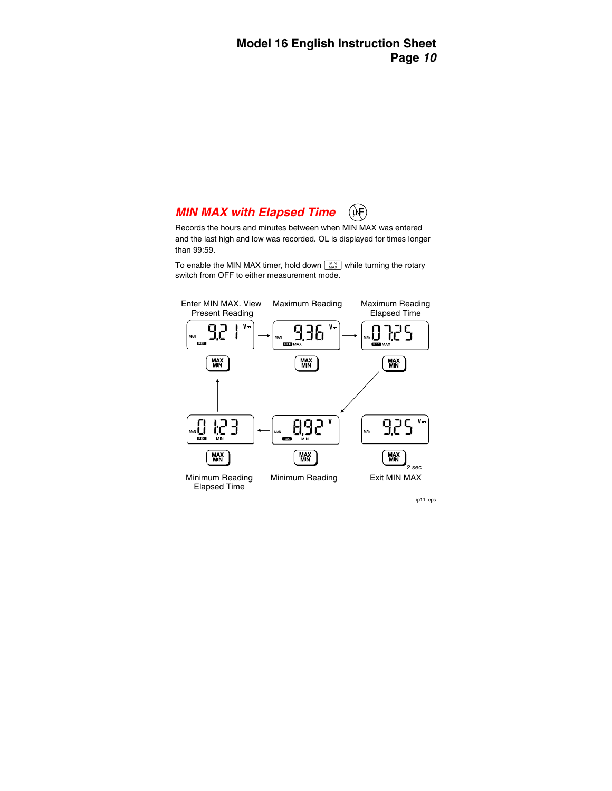## **MIN MAX with Elapsed Time**

Records the hours and minutes between when MIN MAX was entered and the last high and low was recorded. OL is displayed for times longer than 99:59.

To enable the MIN MAX timer, hold down  $\left[\begin{array}{c} \text{MIN} \\ \text{MAX} \end{array}\right]$  while turning the rotary switch from OFF to either measurement mode.



ip11i.eps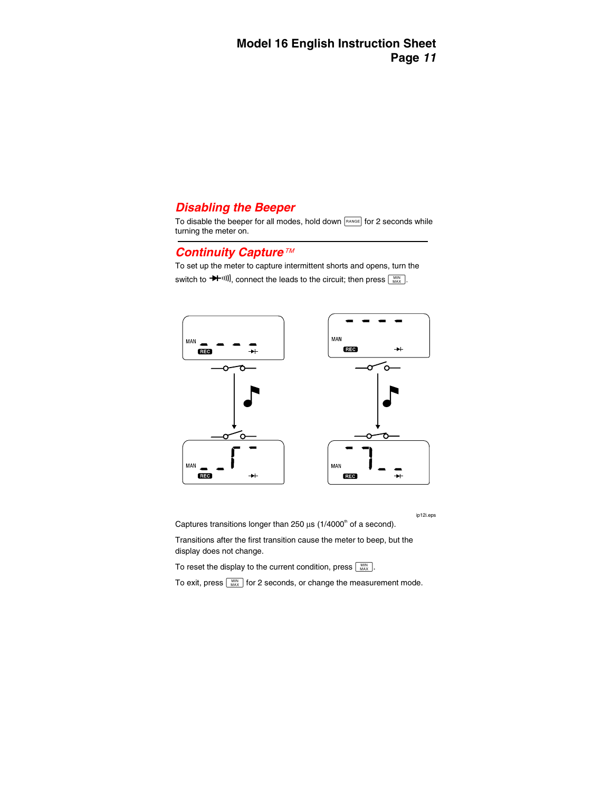### **Disabling the Beeper**

To disable the beeper for all modes, hold down  $F^{AAGE}$  for 2 seconds while turning the meter on.

#### **Continuity Capture**

To set up the meter to capture intermittent shorts and opens, turn the switch to  $\blacktriangleright$  (iii)), connect the leads to the circuit; then press  $\lceil \frac{MIN}{MAX} \rceil$ 



ip12i.eps

Captures transitions longer than 250  $\mu$ s (1/4000<sup>th</sup> of a second).

Transitions after the first transition cause the meter to beep, but the display does not change.

To reset the display to the current condition, press  $\sqrt{\frac{MN}{MAX}}$ 

To exit, press  $\lceil \frac{MN}{MAX} \rceil$  for 2 seconds, or change the measurement mode.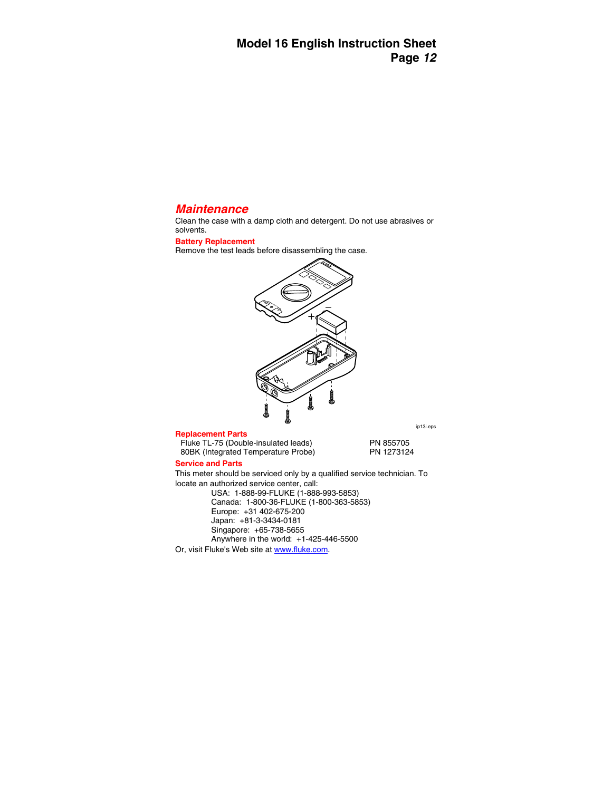#### **Maintenance**

Clean the case with a damp cloth and detergent. Do not use abrasives or solvents.

#### **Battery Replacement**

Remove the test leads before disassembling the case.



#### **Replacement Parts**

Fluke TL-75 (Double-insulated leads) PN 855705<br>ROBK (Integrated Temperature Probe) PN 1273124 80BK (Integrated Temperature Probe)

#### **Service and Parts**

This meter should be serviced only by a qualified service technician. To locate an authorized service center, call:

> USA: 1-888-99-FLUKE (1-888-993-5853) Canada: 1-800-36-FLUKE (1-800-363-5853) Europe: +31 402-675-200 Japan: +81-3-3434-0181 Singapore: +65-738-5655 Anywhere in the world: +1-425-446-5500

Or, visit Fluke's Web site a[t www.fluke.com.](http://www.fluke.com) 

ip13i.eps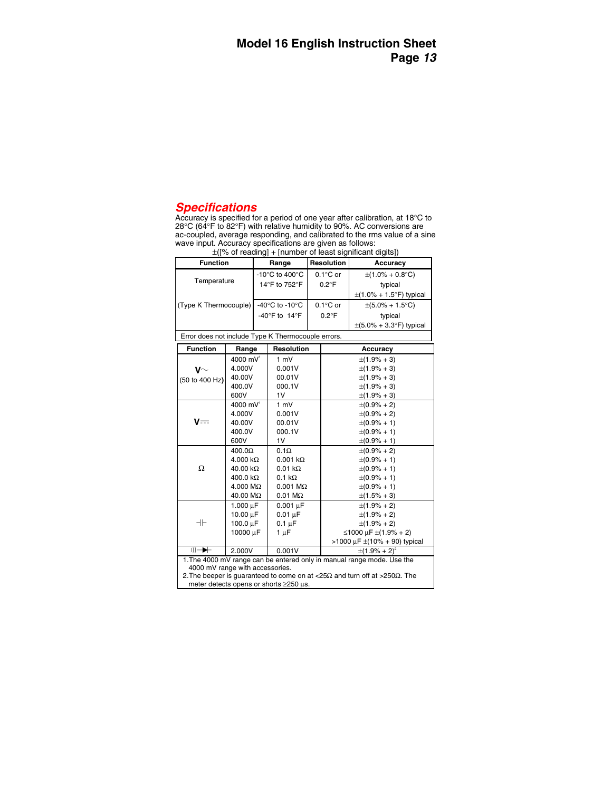#### **Specifications**

Accuracy is specified for a period of one year after calibration, at 18°C to 28°C (64°F to 82°F) with relative humidity to 90%. AC conversions are ac-coupled, average responding, and calibrated to the rms value of a sine wave input. Accuracy specifications are given as follows:

| - 21                                              |                                                      |                    |                                      |  |
|---------------------------------------------------|------------------------------------------------------|--------------------|--------------------------------------|--|
| <b>Function</b>                                   | Range                                                | <b>Resolution</b>  | Accuracy                             |  |
|                                                   | -10 $\mathrm{^{\circ}C}$ to 400 $\mathrm{^{\circ}C}$ | $0.1^{\circ}$ C or | $\pm(1.0\% + 0.8\degree C)$          |  |
| Temperature                                       | 14°F to 752°F                                        | $0.2^{\circ}$ F    | typical                              |  |
|                                                   |                                                      |                    | $\pm$ (1.0% + 1.5°F) typical         |  |
| (Type K Thermocouple)                             | -40 $\mathrm{^{\circ}C}$ to -10 $\mathrm{^{\circ}C}$ | $0.1^{\circ}$ C or | $\pm(5.0\% + 1.5\degree C)$          |  |
|                                                   | -40 $\degree$ F to 14 $\degree$ F                    | $0.2^{\circ}$ F    | typical                              |  |
|                                                   |                                                      |                    | $\pm (5.0\% + 3.3\degree F)$ typical |  |
| Fues deep not include Tune I/ Thompsonuals output |                                                      |                    |                                      |  |

 $+$ ( $\frac{1}{2}$ ) of reading  $+$  [number of least significant digits])

Error does not include Type K Thermocouple errors.

| Error does not include Type K Thermocouple errors.                                                      |                                                                                                  |                        |                                   |  |  |
|---------------------------------------------------------------------------------------------------------|--------------------------------------------------------------------------------------------------|------------------------|-----------------------------------|--|--|
| <b>Function</b>                                                                                         | Range                                                                                            | <b>Resolution</b>      | Accuracy                          |  |  |
|                                                                                                         | 4000 mV <sup>1</sup>                                                                             | 1 mV                   | $\pm(1.9\% + 3)$                  |  |  |
| $\mathsf{v}\mathord{\sim}$                                                                              | 4.000V                                                                                           | 0.001V                 | $\pm(1.9\% + 3)$                  |  |  |
| (50 to 400 Hz)                                                                                          | 40.00V                                                                                           | 00.01V                 | $\pm(1.9\% + 3)$                  |  |  |
|                                                                                                         | 400.0V                                                                                           | 000.1V                 | $\pm(1.9\% + 3)$                  |  |  |
|                                                                                                         | 600V                                                                                             | 1V                     | $\pm(1.9\% + 3)$                  |  |  |
|                                                                                                         | $4000$ mV <sup>1</sup>                                                                           | 1 mV                   | $\pm(0.9\% + 2)$                  |  |  |
|                                                                                                         | 4.000V                                                                                           | 0.001V                 | $\pm(0.9\% + 2)$                  |  |  |
| V==                                                                                                     | 40.00V                                                                                           | 00.01V                 | $\pm(0.9\% + 1)$                  |  |  |
|                                                                                                         | 400.0V                                                                                           | 000.1V                 | $\pm (0.9\% + 1)$                 |  |  |
|                                                                                                         | 600V                                                                                             | 1V                     | $\pm (0.9\% + 1)$                 |  |  |
|                                                                                                         | 400.0 <omega< td=""><td><math>0.1\Omega</math></td><td><math>\pm(0.9\% + 2)</math></td></omega<> | $0.1\Omega$            | $\pm(0.9\% + 2)$                  |  |  |
|                                                                                                         | $4.000 k\Omega$                                                                                  | $0.001 k\Omega$        | $\pm (0.9\% + 1)$                 |  |  |
| Ω                                                                                                       | $40.00 \text{ k}\Omega$                                                                          | $0.01 \text{ k}\Omega$ | $\pm (0.9\% + 1)$                 |  |  |
|                                                                                                         | 400.0 $k\Omega$                                                                                  | $0.1 k\Omega$          | $\pm(0.9\% + 1)$                  |  |  |
|                                                                                                         | $4.000 \text{ M}\Omega$                                                                          | $0.001$ M $\Omega$     | $\pm(0.9\% + 1)$                  |  |  |
|                                                                                                         | 40.00 MΩ                                                                                         | $0.01 \text{ M}\Omega$ | $\pm(1.5\% + 3)$                  |  |  |
|                                                                                                         | $1.000 \mu F$                                                                                    | $0.001 \mu F$          | $\pm(1.9\% + 2)$                  |  |  |
|                                                                                                         | 10.00 $\mu$ F                                                                                    | $0.01 \mu F$           | $\pm(1.9\% + 2)$                  |  |  |
| ᆉ                                                                                                       | 100.0 µF                                                                                         | $0.1 \mu F$            | $\pm(1.9\% + 2)$                  |  |  |
|                                                                                                         | 10000 µF                                                                                         | 1 µF                   | ≤1000 μF ±(1.9% + 2)              |  |  |
|                                                                                                         |                                                                                                  |                        | >1000 μF $\pm$ (10% + 90) typical |  |  |
| $    \rightarrow +$                                                                                     | 2.000V<br>0.001V<br>$\pm$ (1.9% + 2) <sup>*</sup>                                                |                        |                                   |  |  |
| 1. The 4000 mV range can be entered only in manual range mode. Use the                                  |                                                                                                  |                        |                                   |  |  |
| 4000 mV range with accessories.                                                                         |                                                                                                  |                        |                                   |  |  |
| 2. The beeper is guaranteed to come on at $\langle 25\Omega \rangle$ and turn off at $>250\Omega$ . The |                                                                                                  |                        |                                   |  |  |
| meter detects opens or shorts ≥250 µs.                                                                  |                                                                                                  |                        |                                   |  |  |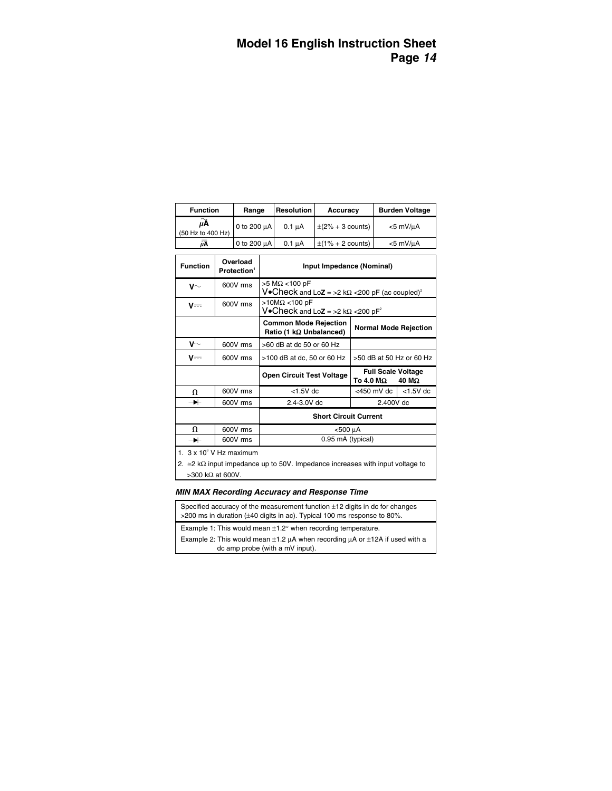| <b>Function</b>         | Range       | <b>Resolution</b>  | Accuracy              | <b>Burden Voltage</b> |
|-------------------------|-------------|--------------------|-----------------------|-----------------------|
| uА<br>(50 Hz to 400 Hz) | 0 to 200 µA | $0.1 \mu A$        | $\pm$ (2% + 3 counts) | $<$ 5 mV/ $\mu$ A     |
| üÄ                      | 0 to 200 uA | 0.1 <sub>u</sub> A | $\pm$ (1% + 2 counts) | $<$ 5 mV/ $\mu$ A     |

| <b>Function</b>   | Overload<br>Protection <sup>1</sup> | Input Impedance (Nominal)                                                                      |                                                 |  |
|-------------------|-------------------------------------|------------------------------------------------------------------------------------------------|-------------------------------------------------|--|
| $\mathsf{v}\sim$  | 600V rms                            | $>5$ M $\Omega$ < 100 pF<br>V. Check and Loz = >2 k $\Omega$ <200 pF (ac coupled) <sup>2</sup> |                                                 |  |
| $V = -$           | 600V rms                            | >10M $\Omega$ <100 pF<br>V.Check and Lo $Z = 2$ k $\Omega$ < 200 pF <sup>2</sup>               |                                                 |  |
|                   |                                     | <b>Common Mode Rejection</b><br>Ratio (1 kΩ Unbalanced)                                        | <b>Normal Mode Rejection</b>                    |  |
| $\mathsf{V}^\sim$ | 600V rms                            | $>60$ dB at dc 50 or 60 Hz                                                                     |                                                 |  |
| V==               | 600V rms                            | $>100$ dB at dc, 50 or 60 Hz                                                                   | >50 dB at 50 Hz or 60 Hz                        |  |
|                   |                                     | <b>Open Circuit Test Voltage</b>                                                               | <b>Full Scale Voltage</b><br>To 4.0 MΩ<br>40 MΩ |  |
| Ω                 | 600V rms                            | $<$ 1.5V dc                                                                                    | <450 mV dc $\vert$ <1.5V dc                     |  |
| ↠                 | 600V rms                            | 2.4-3.0V dc                                                                                    | 2.400V dc                                       |  |
|                   | <b>Short Circuit Current</b>        |                                                                                                |                                                 |  |
| Ω                 | 600V rms                            | <500 μA                                                                                        |                                                 |  |
| →                 | 600V rms                            | 0.95 mA (typical)                                                                              |                                                 |  |

1.  $3 \times 10^6$  V Hz maximum

2. ≅2 kΩ input impedance up to 50V. Impedance increases with input voltage to >300 kΩ at 600V.

#### **MIN MAX Recording Accuracy and Response Time**

Specified accuracy of the measurement function ±12 digits in dc for changes >200 ms in duration (±40 digits in ac). Typical 100 ms response to 80%.

Example 1: This would mean  $\pm 1.2^\circ$  when recording temperature.

Example 2: This would mean  $\pm 1.2$   $\mu$ A when recording  $\mu$ A or  $\pm 12A$  if used with a dc amp probe (with a mV input).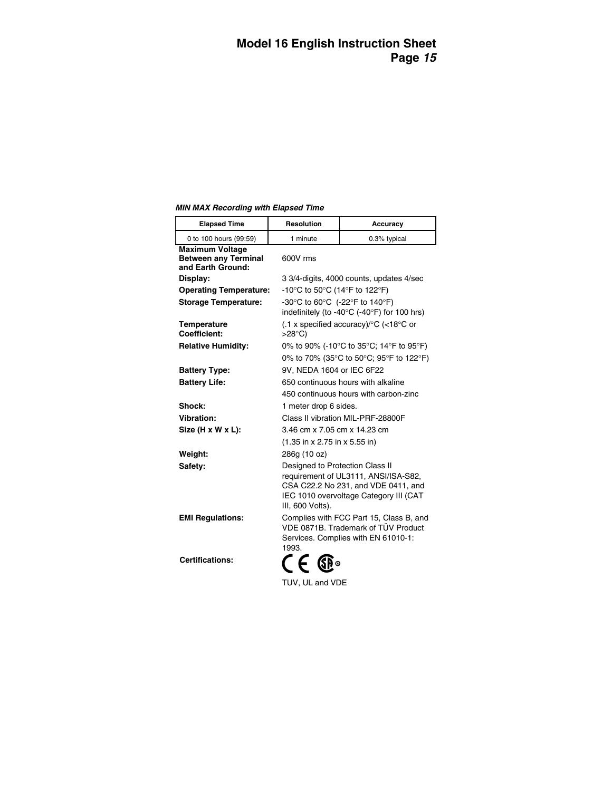**MIN MAX Recording with Elapsed Time** 

| <b>Elapsed Time</b>                                                        | <b>Resolution</b>                                                                                                              | Accuracy                                                                                                              |  |  |
|----------------------------------------------------------------------------|--------------------------------------------------------------------------------------------------------------------------------|-----------------------------------------------------------------------------------------------------------------------|--|--|
| 0 to 100 hours (99:59)                                                     | 1 minute                                                                                                                       | 0.3% typical                                                                                                          |  |  |
| <b>Maximum Voltage</b><br><b>Between any Terminal</b><br>and Earth Ground: | 600V rms                                                                                                                       |                                                                                                                       |  |  |
| Display:                                                                   |                                                                                                                                | 3 3/4-digits, 4000 counts, updates 4/sec                                                                              |  |  |
| <b>Operating Temperature:</b>                                              |                                                                                                                                | -10°C to 50°C (14°F to 122°F)                                                                                         |  |  |
| <b>Storage Temperature:</b>                                                | -30°C to 60°C (-22°F to 140°F)                                                                                                 | indefinitely (to -40°C (-40°F) for 100 hrs)                                                                           |  |  |
| <b>Temperature</b><br>Coefficient:                                         | $(0.1 \times \text{specified accuracy})^{\circ}C$ (<18 °C or<br>>28°C)                                                         |                                                                                                                       |  |  |
| <b>Relative Humidity:</b>                                                  |                                                                                                                                | 0% to 90% (-10°C to 35°C; 14°F to 95°F)                                                                               |  |  |
|                                                                            |                                                                                                                                | 0% to 70% (35°C to 50°C; 95°F to 122°F)                                                                               |  |  |
| <b>Battery Type:</b>                                                       |                                                                                                                                | 9V, NEDA 1604 or IEC 6F22                                                                                             |  |  |
| <b>Battery Life:</b>                                                       | 650 continuous hours with alkaline                                                                                             |                                                                                                                       |  |  |
|                                                                            |                                                                                                                                | 450 continuous hours with carbon-zinc                                                                                 |  |  |
| Shock:                                                                     | 1 meter drop 6 sides.                                                                                                          |                                                                                                                       |  |  |
| Vibration:                                                                 | Class II vibration MIL-PRF-28800F                                                                                              |                                                                                                                       |  |  |
| Size (H x W x L):                                                          | 3.46 cm x 7.05 cm x 14.23 cm                                                                                                   |                                                                                                                       |  |  |
|                                                                            | $(1.35 \text{ in } x 2.75 \text{ in } x 5.55 \text{ in})$                                                                      |                                                                                                                       |  |  |
| Weight:<br>286g (10 oz)                                                    |                                                                                                                                |                                                                                                                       |  |  |
| Safety:                                                                    | Designed to Protection Class II<br>III, 600 Volts).                                                                            | requirement of UL3111, ANSI/ISA-S82,<br>CSA C22.2 No 231, and VDE 0411, and<br>IEC 1010 overvoltage Category III (CAT |  |  |
| <b>EMI Regulations:</b>                                                    | Complies with FCC Part 15, Class B, and<br>VDE 0871B. Trademark of TÜV Product<br>Services. Complies with EN 61010-1:<br>1993. |                                                                                                                       |  |  |
| <b>Certifications:</b>                                                     | C E GR∘                                                                                                                        |                                                                                                                       |  |  |
|                                                                            |                                                                                                                                | TUV, UL and VDE                                                                                                       |  |  |